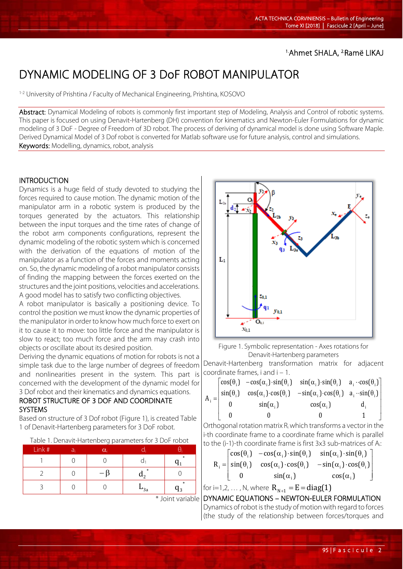### 1.Ahmet SHALA, 2.Ramë LIKAJ

# DYNAMIC MODELING OF 3 DoF ROBOT MANIPULATOR

1-2 University of Prishtina / Faculty of Mechanical Engineering, Prishtina, KOSOVO

Abstract: Dynamical Modeling of robots is commonly first important step of Modeling, Analysis and Control of robotic systems. This paper is focused on using Denavit-Hartenberg (DH) convention for kinematics and Newton-Euler Formulations for dynamic modeling of 3 DoF - Degree of Freedom of 3D robot. The process of deriving of dynamical model is done using Software Maple. Derived Dynamical Model of 3 Dof robot is converted for Matlab software use for future analysis, control and simulations. Keywords: Modelling, dynamics, robot, analysis

#### INTRODUCTION

Dynamics is a huge field of study devoted to studying the forces required to cause motion. The dynamic motion of the manipulator arm in a robotic system is produced by the torques generated by the actuators. This relationship between the input torques and the time rates of change of the robot arm components configurations, represent the dynamic modeling of the robotic system which is concerned with the derivation of the equations of motion of the manipulator as a function of the forces and moments acting on. So, the dynamic modeling of a robot manipulator consists of finding the mapping between the forces exerted on the structures and the joint positions, velocities and accelerations. A good model has to satisfy two conflicting objectives.

A robot manipulator is basically a positioning device. To control the position we must know the dynamic properties of the manipulator in order to know how much force to exert on it to cause it to move: too little force and the manipulator is slow to react; too much force and the arm may crash into objects or oscillate about its desired position.

Deriving the dynamic equations of motion for robots is not a simple task due to the large number of degrees of freedom and nonlinearities present in the system. This part is concerned with the development of the dynamic model for 3 Dof robot and their kinematics and dynamics equations.

#### ROBOT STRUCTURE OF 3 DOF AND COORDINATE SYSTEMS

Based on structure of 3 Dof robot (Figure 1), is created Table 1 of Denavit-Hartenberg parameters for 3 DoF robot.

Table 1. Denavit-Hartenberg parameters for 3 DoF robot

| Link# | ai | $\alpha_i$ |        |               |
|-------|----|------------|--------|---------------|
|       |    |            |        | $\ast$        |
|       |    |            | *      |               |
|       |    |            | $-$ 3a | $\ast$<br>ר ו |



Figure 1. Symbolic representation - Axes rotations for Denavit-Hartenberg parameters

Denavit-Hartenberg transformation matrix for adjacent coordinate frames, i and i – 1.

J J J J  $\overline{a}$  $\begin{bmatrix} \cos(\theta_i) & -\cos(\alpha_i) \cdot \sin(\theta_i) & \sin(\alpha_i) \cdot \sin(\theta_i) & a_i \cdot \cos(\theta_i) \end{bmatrix}$ L L L  $\begin{vmatrix} sin(\theta_i) & cos(\alpha_i) \cdot cos(\theta_i) & -sin(\alpha_i) \cdot cos(\theta_i) & a_i \cdot sin(\theta_i) \end{vmatrix}$ L 0  $sin(\alpha_i)$   $cos(\alpha_i)$  d  $A_i =$  $0$  0 1  $\mathbf{u}$  is in the interval of  $\mathbf{u}$ i

Orthogonal rotation matrix  $R_i$  which transforms a vector in the i-th coordinate frame to a coordinate frame which is parallel to the (i-1)-th coordinate frame is first 3x3 sub-matrices of Ai:

$$
R_i = \begin{bmatrix} \cos(\theta_i) & -\cos(\alpha_i) \cdot \sin(\theta_i) & \sin(\alpha_i) \cdot \sin(\theta_i) \\ \sin(\theta_i) & \cos(\alpha_i) \cdot \cos(\theta_i) & -\sin(\alpha_i) \cdot \cos(\theta_i) \\ 0 & \sin(\alpha_i) & \cos(\alpha_i) \end{bmatrix}
$$

for i=1,2, ..., N, where  $R_{N+1} = E = diag(1)$ 

 \* Joint variable DYNAMIC EQUATIONS – NEWTON-EULER FORMULATION Dynamics of robot is the study of motion with regard to forces (the study of the relationship between forces/torques and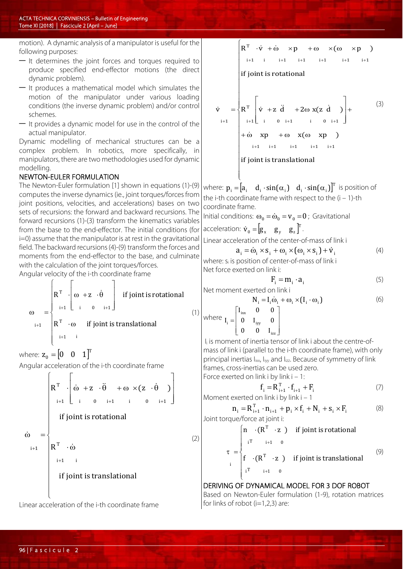motion). A dynamic analysis of a manipulator is useful for the following purposes:

- It determines the joint forces and torques required to produce specified end-effector motions (the direct dynamic problem).
- It produces a mathematical model which simulates the motion of the manipulator under various loading conditions (the inverse dynamic problem) and/or control schemes.
- It provides a dynamic model for use in the control of the actual manipulator.

Dynamic modelling of mechanical structures can be a complex problem. In robotics, more specifically, in manipulators, there are two methodologies used for dynamic modelling.

#### NEWTON-EULER FORMULATION

The Newton-Euler formulation [1] shown in equations (1)-(9) computes the inverse dynamics (ie., joint torques/forces from joint positions, velocities, and accelerations) bases on two sets of recursions: the forward and backward recursions. The forward recursions (1)-(3) transform the kinematics variables from the base to the end-effector. The initial conditions (for i=0) assume that the manipulator is at rest in the gravitational field. The backward recursions (4)-(9) transform the forces and moments from the end-effector to the base, and culminate with the calculation of the joint torques/forces.

Angular velocity of the i-th coordinate frame

$$
\omega = \begin{cases}\nR^{T} & \begin{bmatrix}\n\omega + z & \dot{\theta} \\
i+1 & \omega_{i+1}\n\end{bmatrix} & \text{if joint is rotational} \\
R^{T} & \omega & \text{if joint is translational} \\
i+1 & i\n\end{cases}
$$

where:  $\mathbf{z}_0 = \begin{bmatrix} 0 & 0 & 1 \end{bmatrix}^T$ 

Angular acceleration of the i-th coordinate frame

$$
\hat{\omega} = \begin{cases}\nR^{T} \cdot \left[\begin{matrix}\n\dot{\omega} + z & \cdot \ddot{\theta} & + \omega \times (z \cdot \dot{\theta}) \\
i + 1 & 0 & i + 1 \\
\end{matrix}\right] \\
\dot{\omega} = \begin{cases}\nR^{T} \cdot \dot{\omega} \\
R^{T} \cdot \dot{\omega} \\
i + 1 & i \\
\text{if joint is translational}\n\end{cases} \tag{2}
$$

Linear acceleration of the i-th coordinate frame

 $\overline{1}$  $\overline{1}$  $\overline{1}$  $\overline{1}$  $\overline{1}$  $\overline{1}$  $\Big\}$  $\overline{1}$  $\overline{1}$  $\overline{1}$  $\overline{1}$  $\overline{1}$  $\overline{1}$  $\overline{1}$  $\overline{1}$  $=\left\{\mathbf{R}^{\mathrm{T}}\right\}$  $\int$  $+\dot{\omega}$  xp  $+\omega$  x( $\omega$  $\vert +$  $\overline{\phantom{a}}$ J  $\overline{a}$ J L I  $\dot{v} = \begin{cases} R^{T} | \dot{v} + z \ddot{d} + 2\omega x(z \dot{d}) \end{cases}$  + (3)  $\lfloor$ Ӷ  $R^T \cdot \dot{v} + \dot{\omega} \times p + \omega \times (\omega \times p)$  $i+1$   $i+1$   $i+1$  $+1$  i 0 i+1 i 0 i+1  $i+1$  i  $i+1$   $i+1$   $i+1$   $i+1$   $i+1$  $i+1$  $+\omega$   $x(\omega x)$ if joint is rotational  $i+1$   $i+1$   $i+1$   $i+1$   $i+1$  $i+1$ 

 $\overline{1}$  $\overline{1}$ if joint is translational

 $\mathfrak{r}$ where:  $p_i = [a_i \quad d_i \cdot \sin(\alpha_i) \quad d_i \cdot \sin(\alpha_i)]^T$  is position of the i-th coordinate frame with respect to the (i – 1)-th coordinate frame.

Initial conditions:  $\omega_0 = \dot{\omega}_0 = v_0 = 0$ ; Gravitational acceleration:  $\dot{\mathbf{v}}_0 = [\mathbf{g}_x \ \mathbf{g}_y \ \mathbf{g}_z]^T$ .

Linear acceleration of the center-of-mass of link i

$$
a_{i} = \dot{\omega}_{i} \times s_{i} + \omega_{i} \times (\omega_{i} \times s_{i}) + \dot{v}_{i}
$$
 (4)

where:  $s_i$  is position of center-of-mass of link i Net force exerted on link i:

$$
F_i = m_i \cdot a_i \tag{5}
$$

Net moment exerted on link i

 $\overline{1}$  $\overline{ }$ 

v

$$
N_i = I_i \dot{\omega}_i + \omega_i \times (I_i \cdot \omega_i)
$$
 (6)

$$
\text{where } I_i = \begin{bmatrix} I_{\text{ixx}} & 0 & 0 \\ 0 & I_{\text{iyy}} & 0 \\ 0 & 0 & I_{\text{izz}} \end{bmatrix}
$$

(1)

I<sub>i</sub> is moment of inertia tensor of link i about the centre-ofmass of link i (parallel to the i-th coordinate frame), with only principal inertias I<sub>ixx</sub>, I<sub>iyy</sub> and I<sub>izz</sub>. Because of symmetry of link frames, cross-inertias can be used zero. Force exerted on link i by link i – 1:

$$
f_{i} = R_{i+1}^{T} \cdot f_{i+1} + F_{i}
$$
 (7)

Moment exerted on link i by link  $i - 1$ 

$$
\mathbf{n}_{i} = \mathbf{R}_{i+1}^{T} \cdot \mathbf{n}_{i+1} + \mathbf{p}_{i} \times \mathbf{f}_{i} + \mathbf{N}_{i} + \mathbf{s}_{i} \times \mathbf{F}_{i}
$$
 (8)  
Joint torque/force at joint i:

$$
\tau = \begin{cases}\n\mathbf{n} & \cdot (\mathbf{R}^{\mathrm{T}} \cdot \mathbf{z}) & \text{if joint is rotational} \\
i^{\mathrm{T}} & \quad i+1 \quad 0 \\
f & \cdot (\mathbf{R}^{\mathrm{T}} \cdot \mathbf{z}) & \text{if joint is translational} \\
i^{\mathrm{T}} & \quad i+1 \quad 0\n\end{cases}
$$
\n(9)

DERIVING OF DYNAMICAL MODEL FOR 3 DOF ROBOT Based on Newton-Euler formulation (1-9), rotation matrices for links of robot  $(i=1,2,3)$  are:

 $\overline{\phantom{a}}$  $\overline{\phantom{a}}$ 

 $\overline{\mathcal{L}}$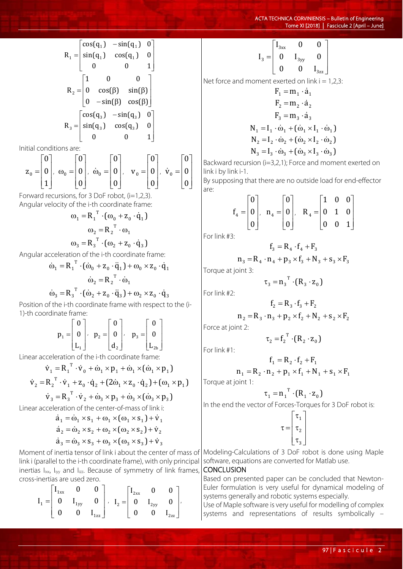$$
R_{1} = \begin{bmatrix} \cos(q_{1}) & -\sin(q_{1}) & 0 \\ \sin(q_{1}) & \cos(q_{1}) & 0 \\ 0 & 0 & 1 \end{bmatrix}
$$
  
\n
$$
R_{2} = \begin{bmatrix} 1 & 0 & 0 \\ 0 & \cos(\beta) & \sin(\beta) \\ 0 & -\sin(\beta) & \cos(\beta) \end{bmatrix}
$$
  
\n
$$
R_{3} = \begin{bmatrix} \cos(q_{3}) & -\sin(q_{3}) & 0 \\ \sin(q_{3}) & \cos(q_{3}) & 0 \\ 0 & 0 & 1 \end{bmatrix}
$$

Initial conditions are:

$$
\mathbf{z}_0 = \begin{bmatrix} 0 \\ 0 \\ 1 \end{bmatrix}, \ \omega_0 = \begin{bmatrix} 0 \\ 0 \\ 0 \end{bmatrix}, \ \dot{\omega}_0 = \begin{bmatrix} 0 \\ 0 \\ 0 \end{bmatrix}, \quad \mathbf{v}_0 = \begin{bmatrix} 0 \\ 0 \\ 0 \end{bmatrix}, \ \dot{\mathbf{v}}_0 = \begin{bmatrix} 0 \\ 0 \\ 0 \end{bmatrix}
$$

Forward recursions, for 3 DoF robot, (i=1,2,3). Angular velocity of the i-th coordinate frame:

$$
\omega_1 = R_1^T \cdot (\omega_0 + z_0 \cdot \dot{q}_1)
$$

$$
\omega_2 = R_2^T \cdot \omega_1
$$

$$
\omega_3 = R_3^T \cdot (\omega_2 + z_0 \cdot \dot{q}_3)
$$

Angular acceleration of the i-th coordinate frame:

$$
\dot{\omega}_1 = R_1^T \cdot (\dot{\omega}_0 + z_0 \cdot \ddot{q}_1) + \omega_0 \times z_0 \cdot \dot{q}_1
$$

$$
\dot{\omega}_2 = R_2^T \cdot \dot{\omega}_1
$$

$$
\dot{\omega}_1 = R_1^T \cdot (\dot{\omega}_1 + z_0 \cdot \ddot{q}_1) + \omega_0 \times z_0 \cdot \dot{q}_1
$$

 $2^{12} - 9$  3  $2^{12} - 9$  3  $\dot{\omega}_3 = R_3^T \cdot (\dot{\omega}_2 + z_0 \cdot \ddot{q}_3) + \omega_2 \times z_0 \cdot \dot{q}$ Position of the i-th coordinate frame with respect to the (i-1)-th coordinate frame:

$$
\mathbf{p}_1 = \begin{bmatrix} 0 \\ 0 \\ L_1 \end{bmatrix}, \quad \mathbf{p}_2 = \begin{bmatrix} 0 \\ 0 \\ d_2 \end{bmatrix}, \quad \mathbf{p}_3 = \begin{bmatrix} 0 \\ 0 \\ L_{2b} \end{bmatrix}
$$

Linear acceleration of the i-th coordinate frame:

$$
\dot{\mathbf{v}}_1 = \mathbf{R}_1^{-1} \cdot \dot{\mathbf{v}}_0 + \dot{\omega}_1 \times \mathbf{p}_1 + \dot{\omega}_1 \times (\dot{\omega}_1 \times \mathbf{p}_1)
$$
\n
$$
\dot{\mathbf{v}}_2 = \mathbf{R}_2^{-1} \cdot \dot{\mathbf{v}}_1 + \mathbf{z}_0 \cdot \dot{\mathbf{q}}_2 + (2\dot{\omega}_1 \times \mathbf{z}_0 \cdot \dot{\mathbf{q}}_2) + (\omega_1 \times \mathbf{p}_1)
$$
\n
$$
\dot{\mathbf{v}}_3 = \mathbf{R}_3^{-1} \cdot \dot{\mathbf{v}}_2 + \dot{\omega}_3 \times \mathbf{p}_3 + \dot{\omega}_3 \times (\dot{\omega}_3 \times \mathbf{p}_3)
$$

Linear acceleration of the center-of-mass of link i:

$$
\dot{a}_1 = \dot{\omega}_1 \times s_1 + \omega_1 \times (\omega_1 \times s_1) + \dot{v}_1
$$
  
\n
$$
\dot{a}_2 = \dot{\omega}_2 \times s_2 + \omega_2 \times (\omega_2 \times s_2) + \dot{v}_2
$$
  
\n
$$
\dot{a}_3 = \dot{\omega}_3 \times s_3 + \omega_3 \times (\omega_3 \times s_3) + \dot{v}_3
$$

Moment of inertia tensor of link i about the center of mass of link i (parallel to the i-th coordinate frame), with only principal inertias I<sub>ixx</sub>, I<sub>iyy</sub> and I<sub>izz</sub>. Because of symmetry of link frames, cross-inertias are used zero.

$$
I_1 = \begin{bmatrix} I_{1xx} & 0 & 0 \\ 0 & I_{1yy} & 0 \\ 0 & 0 & I_{1zz} \end{bmatrix}, \quad I_2 = \begin{bmatrix} I_{2xx} & 0 & 0 \\ 0 & I_{2yy} & 0 \\ 0 & 0 & I_{2zz} \end{bmatrix},
$$

$$
I_3=\begin{bmatrix}I_{3xx} & 0 & 0\\ 0 & I_{3yy} & 0\\ 0 & 0 & I_{3zz}\end{bmatrix}
$$

Net force and moment exerted on  $link i = 1,2,3$ :

$$
F_1 = m_1 \cdot \dot{a}_1
$$
  
\n
$$
F_2 = m_2 \cdot \dot{a}_2
$$
  
\n
$$
F_3 = m_3 \cdot \dot{a}_3
$$
  
\n
$$
N_1 = I_1 \cdot \dot{\omega}_1 + (\dot{\omega}_1 \times I_1 \cdot \dot{\omega}_1)
$$
  
\n
$$
N_2 = I_2 \cdot \dot{\omega}_2 + (\dot{\omega}_2 \times I_2 \cdot \dot{\omega}_2)
$$
  
\n
$$
N_3 = I_3 \cdot \dot{\omega}_3 + (\dot{\omega}_3 \times I_3 \cdot \dot{\omega}_3)
$$

Backward recursion (i=3,2,1); Force and moment exerted on link i by link i-1.

By supposing that there are no outside load for end-effector are:

$$
\mathbf{f}_4 = \begin{bmatrix} 0 \\ 0 \\ 0 \end{bmatrix}, \quad \mathbf{n}_4 = \begin{bmatrix} 0 \\ 0 \\ 0 \end{bmatrix}, \quad \mathbf{R}_4 = \begin{bmatrix} 1 & 0 & 0 \\ 0 & 1 & 0 \\ 0 & 0 & 1 \end{bmatrix}
$$

For link #3:

$$
f_3 = R_4 \cdot f_4 + F_3
$$
  
= R \cdot n\_+ + n\_+ \times f\_+ + N\_+ + s\_+ \times

$$
n_3 = R_4 \cdot n_4 + p_3 \times f_3 + N_3 + s_3 \times F_3
$$

Torque at joint 3:

For link #2:

$$
f_2 = R_3 \cdot f_3 + F_2
$$
  

$$
n_2 = R_3 \cdot n_3 + p_2 \times f_2 + N_2 + s_2 \times F_2
$$

 $\tau_3 = n_3^T \cdot (R_3 \cdot z_0)$ 

Force at joint 2:

$$
\tau_2 = f_2^T \cdot (R_2 \cdot z_0)
$$

For link #1:

$$
f_1 = R_2 \cdot f_2 + F_1
$$
  

$$
n_1 = R_2 \cdot n_2 + p_1 \times f_1 + N_1 + s_1 \times F_1
$$

Torque at joint 1:

$$
\tau_1 = n_1^T \cdot (R_1 \cdot z_0)
$$

In the end the vector of Forces-Torques for 3 DoF robot is:

$$
\tau = \begin{bmatrix} \tau_1 \\ \tau_2 \\ \tau_3 \end{bmatrix}
$$

Modeling-Calculations of 3 DoF robot is done using Maple software, equations are converted for Matlab use.

#### **CONCLUSION**

Based on presented paper can be concluded that Newton-Euler formulation is very useful for dynamical modeling of systems generally and robotic systems especially.

Use of Maple software is very useful for modelling of complex systems and representations of results symbolically –